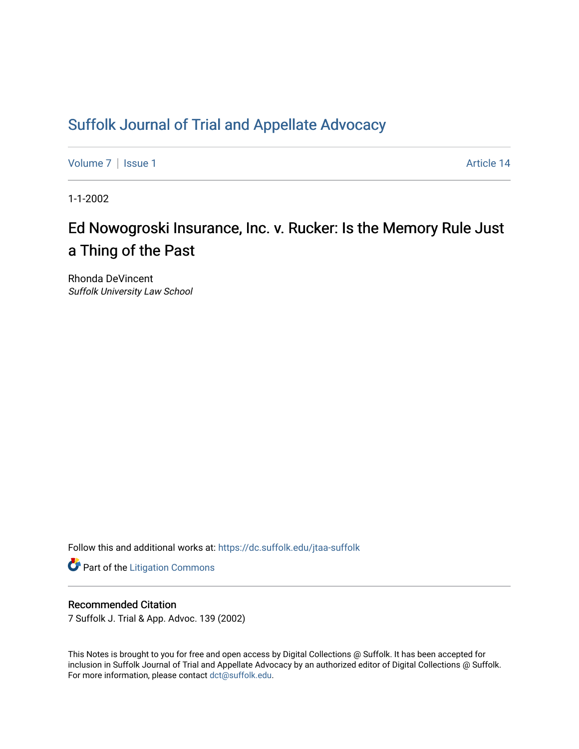## [Suffolk Journal of Trial and Appellate Advocacy](https://dc.suffolk.edu/jtaa-suffolk)

[Volume 7](https://dc.suffolk.edu/jtaa-suffolk/vol7) | [Issue 1](https://dc.suffolk.edu/jtaa-suffolk/vol7/iss1) Article 14

1-1-2002

# Ed Nowogroski Insurance, Inc. v. Rucker: Is the Memory Rule Just a Thing of the Past

Rhonda DeVincent Suffolk University Law School

Follow this and additional works at: [https://dc.suffolk.edu/jtaa-suffolk](https://dc.suffolk.edu/jtaa-suffolk?utm_source=dc.suffolk.edu%2Fjtaa-suffolk%2Fvol7%2Fiss1%2F14&utm_medium=PDF&utm_campaign=PDFCoverPages) 

**Part of the [Litigation Commons](https://network.bepress.com/hgg/discipline/910?utm_source=dc.suffolk.edu%2Fjtaa-suffolk%2Fvol7%2Fiss1%2F14&utm_medium=PDF&utm_campaign=PDFCoverPages)** 

#### Recommended Citation

7 Suffolk J. Trial & App. Advoc. 139 (2002)

This Notes is brought to you for free and open access by Digital Collections @ Suffolk. It has been accepted for inclusion in Suffolk Journal of Trial and Appellate Advocacy by an authorized editor of Digital Collections @ Suffolk. For more information, please contact [dct@suffolk.edu](mailto:dct@suffolk.edu).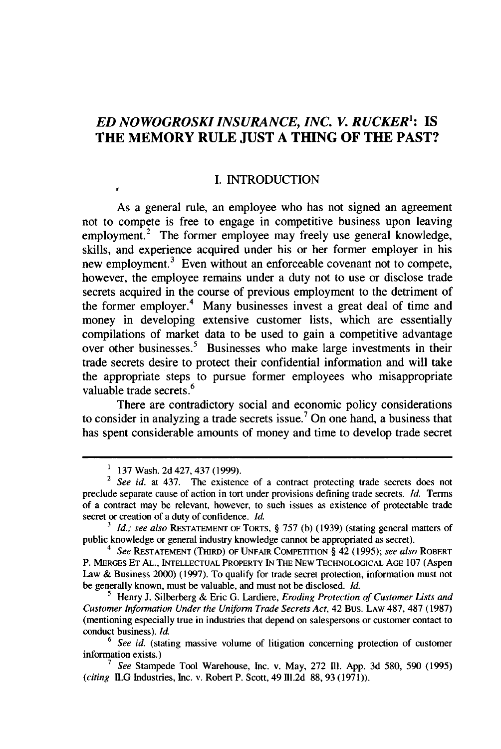### *ED NOWOGROSKI INSURANCE, INC. V. RUCKER':* **IS THE MEMORY RULE JUST A THING OF THE PAST?**

#### **I. INTRODUCTION**

As a general rule, an employee who has not signed an agreement not to compete is free to engage in competitive business upon leaving employment.<sup>2</sup> The former employee may freely use general knowledge, skills, and experience acquired under his or her former employer in his new employment.<sup>3</sup> Even without an enforceable covenant not to compete, however, the employee remains under a duty not to use or disclose trade secrets acquired in the course of previous employment to the detriment of the former employer.<sup>4</sup> Many businesses invest a great deal of time and money in developing extensive customer lists, which are essentially compilations of market data to be used to gain a competitive advantage over other businesses.<sup>5</sup> Businesses who make large investments in their trade secrets desire to protect their confidential information and will take the appropriate steps to pursue former employees who misappropriate valuable trade secrets.<sup>6</sup>

There are contradictory social and economic policy considerations to consider in analyzing a trade secrets issue.<sup>7</sup> On one hand, a business that has spent considerable amounts of money and time to develop trade secret

*<sup>4</sup>See* RESTATEMENT (THIRD) OF **UNFAIR** COMPETITION § 42 (1995); *see also* ROBERT P. MERGES **ET AL., INTELLECTUAL** PROPERTY IN THE NEW TECHNOLOGICAL **AGE** 107 (Aspen Law & Business 2000) (1997). To qualify for trade secret protection, information must not be generally known, must be valuable, and must not be disclosed. *Id.*

**5** Henry **J.** Silberberg & Eric G. Lardiere, *Eroding Protection of Customer Lists and Customer Information Under the Uniform Trade Secrets Act,* 42 Bus. LAw 487, 487 (1987) (mentioning especially true in industries that depend on salespersons or customer contact to conduct business). *Id.*

**<sup>&#</sup>x27; 137** Wash. **2d 427, 437 (1999).**

<sup>2</sup>*See id.* at 437. The existence of a contract protecting trade secrets does not preclude separate cause of action in tort under provisions defining trade secrets. *Id.* Terms of a contract may be relevant, however, to such issues as existence of protectable trade secret or creation of a duty of confidence. *Id.*

*<sup>3</sup> Id.; see also* **RESTATEMENT OF TORTS,** § 757 (b) (1939) (stating general matters of public knowledge or general industry knowledge cannot be appropriated as secret).

<sup>&</sup>lt;sup>6</sup> See id. (stating massive volume of litigation concerning protection of customer information exists.)

*<sup>7</sup> See* Stampede Tool Warehouse, Inc. v. May, 272 **I.** App. 3d 580, 590 (1995) *(citing* LG Industries, Inc. v. Robert P. Scott, 49 ll.2d 88, 93 (1971)).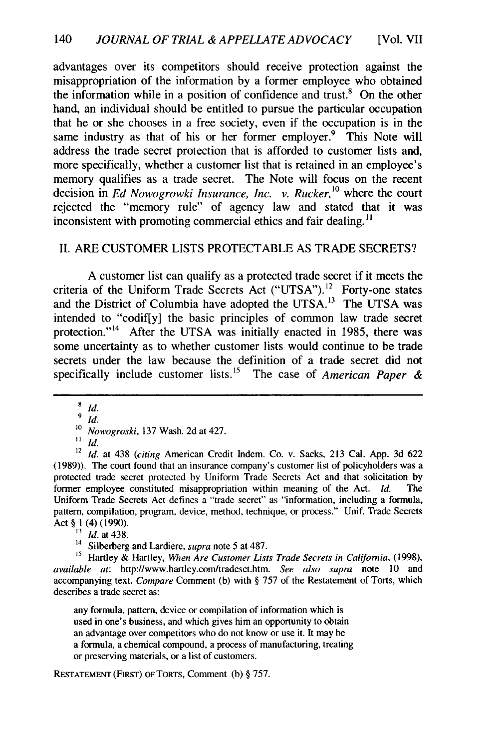advantages over its competitors should receive protection against the misappropriation of the information by a former employee who obtained the information while in a position of confidence and trust.<sup>8</sup> On the other hand, an individual should be entitled to pursue the particular occupation that he or she chooses in a free society, even if the occupation is in the same industry as that of his or her former employer. $9$  This Note will address the trade secret protection that is afforded to customer lists and, more specifically, whether a customer list that is retained in an employee's memory qualifies as a trade secret. The Note will focus on the recent decision in *Ed Nowogrowki Insurance, Inc. v. Rucker*,<sup>10</sup> where the court rejected the "memory rule" of agency law and stated that it was inconsistent with promoting commercial ethics and fair dealing.<sup>11</sup>

#### II. ARE CUSTOMER LISTS PROTECTABLE AS TRADE SECRETS?

A customer list can qualify as a protected trade secret if it meets the criteria of the Uniform Trade Secrets Act ("UTSA").<sup>12</sup> Forty-one states and the District of Columbia have adopted the UTSA. $13$  The UTSA was intended to "codif[y] the basic principles of common law trade secret protection."<sup>14</sup> After the UTSA was initially enacted in 1985, there was some uncertainty as to whether customer lists would continue to be trade secrets under the law because the definition of a trade secret did not specifically include customer lists.15 The case of *American Paper &*

8 *Id.*

**11** *Id.*

<sup>12</sup>*Id.* at 438 *(citing* American Credit Indem. Co. v. Sacks, 213 Cal. App. 3d 622 (1989)). The court found that an insurance company's customer list of policyholders was a protected trade secret protected by Uniform Trade Secrets Act and that solicitation by former employee constituted misappropriation within meaning of the Act. *Id.* The Uniform Trade Secrets Act defines a "trade secret" as "information, including a formula, pattern, compilation, program, device, method, technique, or process." Unif. Trade Secrets Act § 1 (4) (1990).

**<sup>13</sup>Id.** at 438.

14 Silberberg and Lardiere, *supra* note 5 at 487.

**'5** Hartley & Hartley, *When Are Customer Lists Trade Secrets in California,* (1998), *available at:* http://www.hartley.comltradesct.htm. *See also supra* note 10 and accompanying text. *Compare* Comment (b) with § 757 of the Restatement of Torts, which describes a trade secret as:

any formula, pattern, device or compilation of information which is used in one's business, and which gives him an opportunity to obtain an advantage over competitors who do not know or use it. It may be a formula, a chemical compound, a process of manufacturing, treating or preserving materials, or a list of customers.

**RESTATEMENT** (FIRST) OF TORTS, Comment (b) § 757.

**<sup>9</sup>** *Id.*

**<sup>10</sup>***Nowogroski,* 137 Wash. 2d at 427.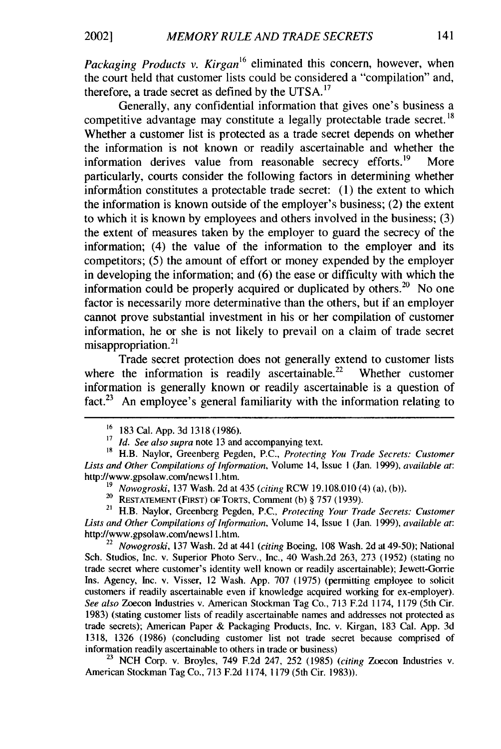*Packaging Products v. Kirgan*<sup>16</sup> eliminated this concern, however, when the court held that customer lists could be considered a "compilation" and, therefore, a trade secret as defined by the UTSA. $17$ 

Generally, any confidential information that gives one's business a competitive advantage may constitute a legally protectable trade secret. <sup>18</sup> Whether a customer list is protected as a trade secret depends on whether the information is not known or readily ascertainable and whether the information derives value from reasonable secrecy efforts.<sup>19</sup> More particularly, courts consider the following factors in determining whether information constitutes a protectable trade secret: (1) the extent to which the information is known outside of the employer's business; (2) the extent to which it is known by employees and others involved in the business; (3) the extent of measures taken by the employer to guard the secrecy of the information; (4) the value of the information to the employer and its competitors; (5) the amount of effort or money expended by the employer in developing the information; and (6) the ease or difficulty with which the information could be properly acquired or duplicated by others. $20$  No one factor is necessarily more determinative than the others, but if an employer cannot prove substantial investment in his or her compilation of customer information, he or she is not likely to prevail on a claim of trade secret misappropriation.<sup>21</sup>

Trade secret protection does not generally extend to customer lists where the information is readily ascertainable.<sup>22</sup> Whether customer information is generally known or readily ascertainable is a question of fact.<sup>23</sup> An employee's general familiarity with the information relating to

*<sup>22</sup>Nowogroski,* 137 Wash. 2d at 441 *(citing* Boeing, 108 Wash. 2d at 49-50); National Sch. Studios, Inc. v. Superior Photo Serv., Inc., 40 Wash.2d 263, 273 (1952) (stating no trade secret where customer's identity well known or readily ascertainable); Jewett-Gorrie Ins. Agency, Inc. v. Visser, 12 Wash. App. 707 (1975) (permitting employee to solicit customers if readily ascertainable even if knowledge acquired working for ex-employer). *See also* Zoecon Industries v. American Stockman Tag Co., 713 F.2d 1174, 1179 (5th Cir. 1983) (stating customer lists of readily ascertainable names and addresses not protected as trade secrets); American Paper & Packaging Products, Inc. v. Kirgan, 183 Cal. App. 3d 1318, 1326 (1986) (concluding customer list not trade secret because comprised of information readily ascertainable to others in trade or business)

<sup>23</sup> NCH Corp. v. Broyles, 749 F.2d 247, 252 (1985) *(citing Zoecon Industries v.* American Stockman Tag Co., 713 F.2d 1174, 1179 (5th Cir. 1983)).

<sup>16</sup> 183 Cal. App. 3d 1318 (1986).

<sup>&</sup>lt;sup>17</sup> *Id. See also supra* note 13 and accompanying text.

**<sup>18</sup>** H.B. Naylor, Greenberg Pegden, P.C., *Protecting You Trade Secrets: Customer Lists and Other Compilations of Information,* Volume 14, Issue **I** (Jan. 1999), *available at:* http://www.gpsolaw.com/newsl l.htm.

*<sup>19</sup> Nowogroski,* 137 Wash. 2d at 435 *(citing* RCW 19.108.010 (4) (a), (b)).

<sup>&</sup>lt;sup>20</sup> RESTATEMENT (FIRST) OF TORTS, Comment (b) § 757 (1939).

<sup>&</sup>lt;sup>21</sup> H.B. Naylor, Greenberg Pegden, P.C., *Protecting Your Trade Secrets: Customer Lists and Other Compilations of Information,* Volume 14, Issue I (Jan. 1999), *available at:* http://www.gpsolaw.com/newsl 1.htm.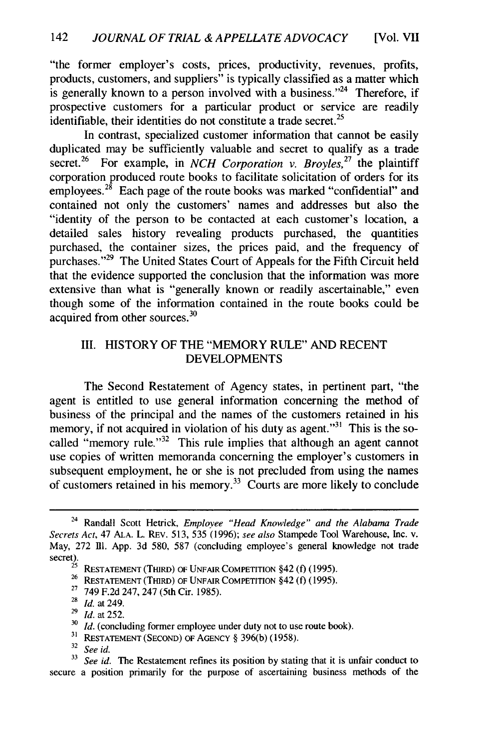"the former employer's costs, prices, productivity, revenues, profits, products, customers, and suppliers" is typically classified as a matter which is generally known to a person involved with a business.<sup> $24$ </sup> Therefore, if prospective customers for a particular product or service are readily identifiable, their identities do not constitute a trade secret.<sup>25</sup>

In contrast, specialized customer information that cannot be easily duplicated may be sufficiently valuable and secret to qualify as a trade secret.<sup>26</sup> For example, in *NCH Corporation v. Broyles*,<sup>27</sup> the plaintiff corporation produced route books to facilitate solicitation of orders for its employees. $^{28}$  Each page of the route books was marked "confidential" and contained not only the customers' names and addresses but also the "identity of the person to be contacted at each customer's location, a detailed sales history revealing products purchased, the quantities purchased, the container sizes, the prices paid, and the frequency of purchases."<sup>29</sup> The United States Court of Appeals for the Fifth Circuit held that the evidence supported the conclusion that the information was more extensive than what is "generally known or readily ascertainable," even though some of the information contained in the route books could be acquired from other sources.<sup>30</sup>

#### III. HISTORY OF THE "MEMORY RULE" AND RECENT DEVELOPMENTS

The Second Restatement of Agency states, in pertinent part, "the agent is entitled to use general information concerning the method of business of the principal and the names of the customers retained in his memory, if not acquired in violation of his duty as agent."<sup>31</sup> This is the socalled "memory rule." $32$  This rule implies that although an agent cannot use copies of written memoranda concerning the employer's customers in subsequent employment, he or she is not precluded from using the names of customers retained in his memory.33 Courts are more likely to conclude

<sup>32</sup>*See id.*

<sup>&</sup>lt;sup>24</sup> Randall Scott Hetrick, *Employee "Head Knowledge" and the Alabama Trade Secrets Act,* 47 **ALA.** L. REv. 513, 535 (1996); *see also* Stampede Tool Warehouse, Inc. v. May, 272 111. App. 3d 580, 587 (concluding employee's general knowledge not trade  $\text{secret}$ ).

**<sup>25</sup> RESTATEMENT** (THIRD) OF **UNFAIR COMPETITION** §42 **(f)** (1995).

**<sup>26</sup> RESTATEMENT** (THIRD) OF UNFAIR **COMPETITION** §42 **(f)** (1995).

**<sup>27</sup>**749 F.2d 247, 247 (5th Cir. 1985).

<sup>28</sup>*Id.* at 249.

*<sup>29</sup>***Id.** at 252.

<sup>&</sup>lt;sup>30</sup>*Id.* (concluding former employee under duty not to use route book).

**<sup>3 1</sup> RESTATEMENT (SECOND)** OF **AGENCY** § 396(b) (1958).

<sup>&</sup>lt;sup>33</sup> See id. The Restatement refines its position by stating that it is unfair conduct to secure a position primarily for the purpose of ascertaining business methods of the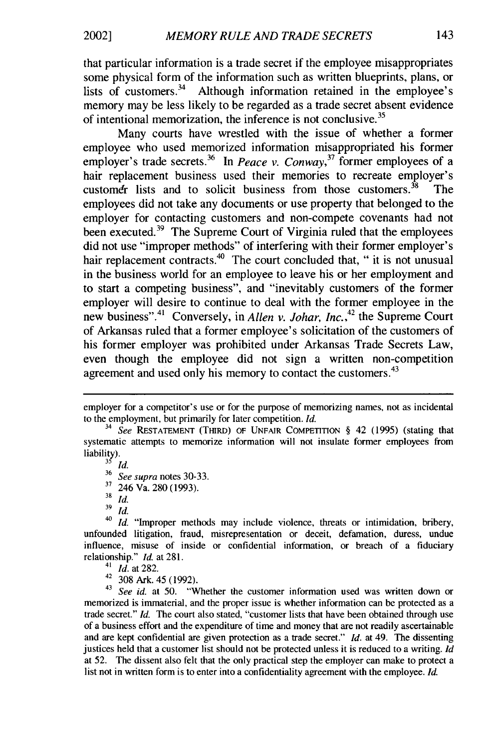that particular information is a trade secret if the employee misappropriates some physical form of the information such as written blueprints, plans, or lists of customers.<sup>34</sup> Although information retained in the employee's memory may be less likely to be regarded as a trade secret absent evidence of intentional memorization, the inference is not conclusive.<sup>35</sup>

Many courts have wrestled with the issue of whether a former employee who used memorized information misappropriated his former employer's trade secrets.<sup>36</sup> In *Peace v. Conway*,<sup>37</sup> former employees of a hair replacement business used their memories to recreate employer's customer lists and to solicit business from those customers.  $38$  The employees did not take any documents or use property that belonged to the employer for contacting customers and non-compete covenants had not been executed.<sup>39</sup> The Supreme Court of Virginia ruled that the employees did not use "improper methods" of interfering with their former employer's hair replacement contracts.<sup>40</sup> The court concluded that, " it is not unusual in the business world for an employee to leave his or her employment and to start a competing business", and "inevitably customers of the former employer will desire to continue to deal with the former employee in the new business".<sup>41</sup> Conversely, in *Allen v. Johar, Inc.*,<sup>42</sup> the Supreme Court of Arkansas ruled that a former employee's solicitation of the customers of his former employer was prohibited under Arkansas Trade Secrets Law, even though the employee did not sign a written non-competition agreement and used only his memory to contact the customers.<sup>43</sup>

*3Id.*

**<sup>36</sup>***See supra* notes 30-33.

**<sup>17</sup>**246 Va. 280 (1993).

 $rac{38}{39}$ *Id.* 

**<sup>39</sup>***Id.*

41 *Id.* at 282.

 $42\overline{308}$  Ark. 45 (1992).

<sup>43</sup> See id. at 50. "Whether the customer information used was written down or memorized is immaterial, and the proper issue is whether information can be protected as a trade secret." *Id.* The court also stated, "customer lists that have been obtained through use of a business effort and the expenditure of time and money that are not readily ascertainable and are kept confidential are given protection as a trade secret." *Id.* at 49. The dissenting justices held that a customer list should not be protected unless it is reduced to a writing. *Id* at 52. The dissent also felt that the only practical step the employer can make to protect a list not in written form is to enter into a confidentiality agreement with the employee. *Id.*

employer for a competitor's use or for the purpose of memorizing names, not as incidental to the employment, but primarily for later competition. *Id.*

*<sup>34</sup>See* **RESTATEMENT** (THIRD) OF **UNFAIR** COMPETITION § 42 (1995) (stating that systematic attempts to memorize information will not insulate former employees from liability).

*<sup>40</sup>Id.* "Improper methods may include violence, threats or intimidation, bribery, unfounded litigation, fraud, misrepresentation or deceit, defamation, duress, undue influence, misuse of inside or confidential information, or breach of a fiduciary relationship." *Id.* at 281.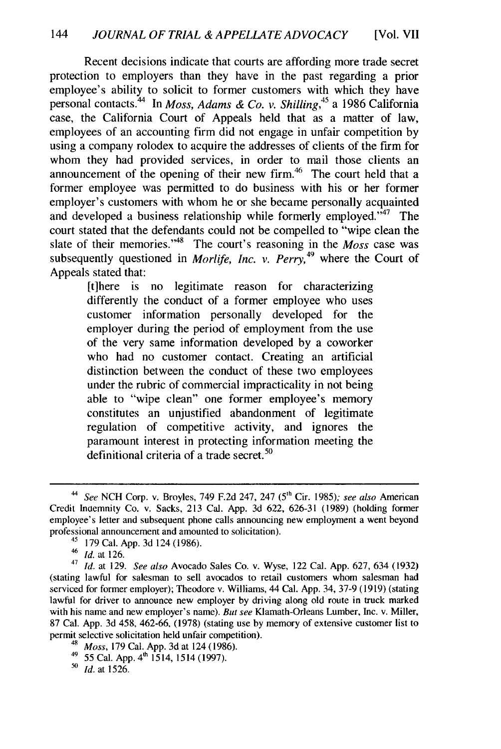Recent decisions indicate that courts are affording more trade secret protection to employers than they have in the past regarding a prior employee's ability to solicit to former customers with which they have personal contacts.44 In *Moss, Adams & Co. v. Shilling,45* a 1986 California case, the California Court of Appeals held that as a matter of law, employees of an accounting firm did not engage in unfair competition by using a company rolodex to acquire the addresses of clients of the firm for whom they had provided services, in order to mail those clients an announcement of the opening of their new firm. $46$  The court held that a former employee was permitted to do business with his or her former employer's customers with whom he or she became personally acquainted and developed a business relationship while formerly employed.<sup> $347$ </sup> The court stated that the defendants could not be compelled to "wipe clean the slate of their memories."<sup>48</sup> The court's reasoning in the  $M$ <sub>OSS</sub> case was subsequently questioned in *Morlife, Inc. v. Perry*,<sup> $49$ </sup> where the Court of Appeals stated that:

> [tihere is no legitimate reason for characterizing differently the conduct of a former employee who uses customer information personally developed for the employer during the period of employment from the use of the very same information developed by a coworker who had no customer contact. Creating an artificial distinction between the conduct of these two employees under the rubric of commercial impracticality in not being able to "wipe clean" one former employee's memory constitutes an unjustified abandonment of legitimate regulation of competitive activity, and ignores the paramount interest in protecting information meeting the definitional criteria of a trade secret.<sup>50</sup>

<sup>44</sup> *See* NCH Corp. v. Broyles, 749 F.2d 247, 247 **(<sup>5</sup> th** Cir. 1985); *see also* American Credit Incemnity Co. v. Sacks, 213 Cal. App. 3d 622, 626-31 (1989) (holding former employee's letter and subsequent phone calls announcing new employment a went beyond professional announcement and amounted to solicitation).

<sup>45</sup> 179 Cal. App. 3d 124 (1986).

<sup>46</sup>**Id.** at 126.

<sup>47</sup>*Id.* at 129. *See also* Avocado Sales Co. v. Wyse, 122 Cal. App. 627, 634 (1932) (stating lawful for salesman to sell avocados to retail customers whom salesman had serviced for former employer); Theodore v. Williams, 44 Cal. App. 34, 37-9 (1919) (stating lawful for driver to announce new employer by driving along old route in truck marked with his name and new employer's name). *But see* Klamath-Orleans Lumber, Inc. v. Miller, 87 Cal. App. 3d 458, 462-66, (1978) (stating use by memory of extensive customer list to permit selective solicitation held unfair competition).

<sup>48</sup>*Moss,* 179 Cal. App. 3d at 124 (1986).

 $49$  55 Cal. App.  $4<sup>th</sup>$  1514, 1514 (1997)

**<sup>50</sup>** *id.* at 1526.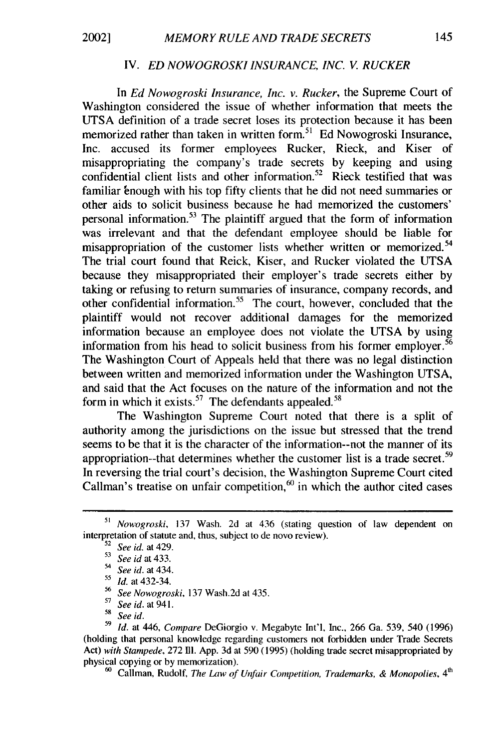#### IV. *ED NOWOGROSKI INSURANCE, INC. V. RUCKER*

In *Ed Nowogroski Insurance, Inc. v. Rucker,* the Supreme Court of Washington considered the issue of whether information that meets the UTSA definition of a trade secret loses its protection because it has been memorized rather than taken in written form.<sup>51</sup> Ed Nowogroski Insurance, Inc. accused its former employees Rucker, Rieck, and Kiser of misappropriating the company's trade secrets by keeping and using confidential client lists and other information.<sup>52</sup> Rieck testified that was familiar enough with his top fifty clients that he did not need summaries or other aids to solicit business because he had memorized the customers' personal information.53 The plaintiff argued that the form of information was irrelevant and that the defendant employee should be liable for misappropriation of the customer lists whether written or memorized.<sup>54</sup> The trial court found that Reick, Kiser, and Rucker violated the UTSA because they misappropriated their employer's trade secrets either by taking or refusing to return summaries of insurance, company records, and other confidential information.55 The court, however, concluded that the plaintiff would not recover additional damages for the memorized information because an employee does not violate the UTSA by using information from his head to solicit business from his former employer.<sup>56</sup> The Washington Court of Appeals held that there was no legal distinction between written and memorized information under the Washington UTSA, and said that the Act focuses on the nature of the information and not the form in which it exists.<sup>57</sup> The defendants appealed.<sup>58</sup>

The Washington Supreme Court noted that there is a split of authority among the jurisdictions on the issue but stressed that the trend seems to be that it is the character of the information--not the manner of its appropriation--that determines whether the customer list is a trade secret.<sup>59</sup> In reversing the trial court's decision, the Washington Supreme Court cited Callman's treatise on unfair competition. $60$  in which the author cited cases

<sup>60</sup> Callman, Rudolf, *The Law of Unfair Competition, Trademarks, & Monopolies*, 4<sup>th</sup>

*<sup>51</sup>*Nowogroski, 137 Wash. 2d at 436 (stating question of law dependent on interpretation of statute and, thus, subject to de novo review).

<sup>52</sup> *See id.* at 429.

**<sup>53</sup>***See id* at 433.

*<sup>54</sup>See id.* at 434.

*<sup>55</sup>Id.* at 432-34.

**<sup>56</sup>***See Nowogroski,* 137 Wash.2d at 435.

**<sup>57</sup>***See id.* at 94 **1.** 58 *See id.*

*<sup>59</sup>Id.* at 446, *Compare* DeGiorgio v. Megabyte Int'l, Inc., 266 Ga. 539, 540 (1996) (holding that personal knowledge regarding customers not forbidden under Trade Secrets Act) *with Stampede,* 272 **111.** App. 3d at 590 (1995) (holding trade secret misappropriated by physical copying or by memorization).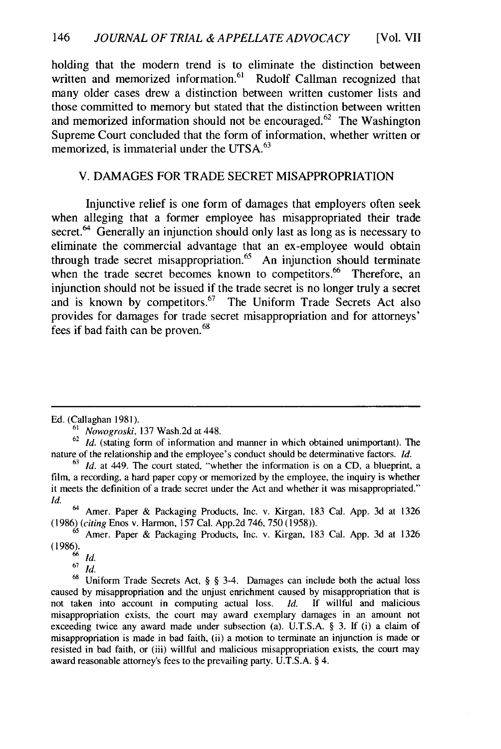holding that the modern trend is to eliminate the distinction between written and memorized information.<sup>61</sup> Rudolf Callman recognized that many older cases drew a distinction between written customer lists and those committed to memory but stated that the distinction between written and memorized information should not be encouraged.<sup>62</sup> The Washington Supreme Court concluded that the form of information, whether written or memorized, is immaterial under the UTSA. $^{63}$ 

#### V. **DAMAGES** FOR TRADE SECRET MISAPPROPRIATION

Injunctive relief is one form of damages that employers often seek when alleging that a former employee has misappropriated their trade secret.<sup>64</sup> Generally an injunction should only last as long as is necessary to eliminate the commercial advantage that an ex-employee would obtain through trade secret misappropriation.<sup>65</sup> An injunction should terminate when the trade secret becomes known to competitors.<sup>66</sup> Therefore, an injunction should not be issued if the trade secret is no longer truly a secret and is known by competitors.<sup>67</sup> The Uniform Trade Secrets Act also provides for damages for trade secret misappropriation and for attorneys' fees if bad faith can be proven.<sup>68</sup>

<sup>64</sup> Amer. Paper & Packaging Products, Inc. v. Kirgan, 183 Cal. App. 3d at 1326 (1986) *(citing* Enos v. Harmon, 157 Cal. App.2d 746, 750 (1958)).

**<sup>65</sup>**Amer. Paper & Packaging Products, Inc. v. Kirgan, 183 Cal. App. 3d at 1326 (1986).

Ed. (Callaghan 1981).

*<sup>61</sup>* Nowogroski, 137 Wash.2d at 448.

<sup>62</sup>*Id.* (stating form of information and manner in which obtained unimportant). The nature of the relationship and the employee's conduct should be determinative factors. *Id.*

**<sup>63</sup>***Id.* at 449. The court stated, "whether the information is on a CD, a blueprint, a film, a recording, a hard paper copy or memorized by the employee, the inquiry is whether it meets the definition of a trade secret under the Act and whether it was misappropriated." *Id.*

**<sup>66</sup>** *Id.*

 $\overline{a}$ <sup>67</sup> $\overline{Id}$ .

**<sup>68</sup>**Uniform Trade Secrets Act, § § 3-4. Damages can include both the actual loss caused by misappropriation and the unjust enrichment caused by misappropriation that is not taken into account in computing actual loss. *Id.* If willful and malicious misappropriation exists, the court may award exemplary damages in an amount not exceeding twice any award made under subsection (a). U.T.S.A. § 3. If (i) a claim of misappropriation is made in bad faith, (ii) a motion to terminate an injunction is made or resisted in bad faith, or (iii) willful and malicious misappropriation exists, the court may award reasonable attorney's fees to the prevailing party. U.T.S.A. § 4.